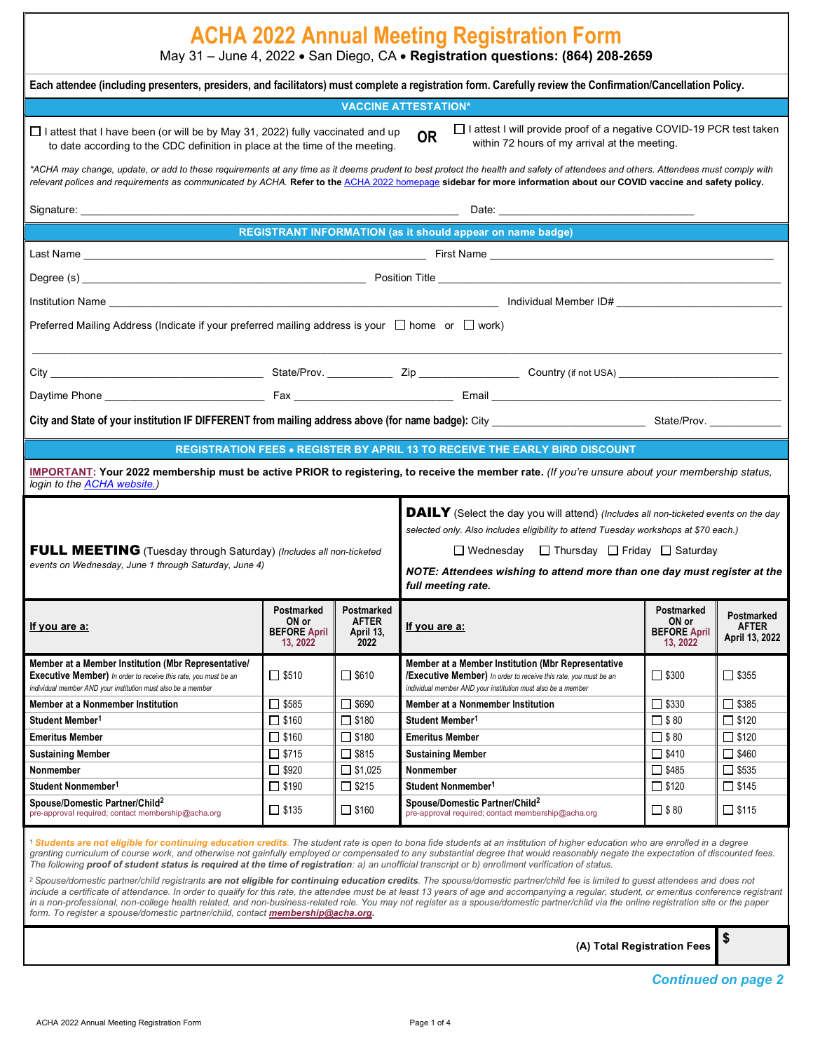| <b>ACHA 2022 Annual Meeting Registration Form</b><br>May 31 - June 4, 2022 · San Diego, CA · Registration questions: (864) 208-2659                                                                                                                                                                                                                                                                                                                                                                                                                                                                                                                                                                                                                                                                                                                                                                                                   |                                          |                                                            |                                                                                                                                                                                               |                                                        |                                              |  |  |  |
|---------------------------------------------------------------------------------------------------------------------------------------------------------------------------------------------------------------------------------------------------------------------------------------------------------------------------------------------------------------------------------------------------------------------------------------------------------------------------------------------------------------------------------------------------------------------------------------------------------------------------------------------------------------------------------------------------------------------------------------------------------------------------------------------------------------------------------------------------------------------------------------------------------------------------------------|------------------------------------------|------------------------------------------------------------|-----------------------------------------------------------------------------------------------------------------------------------------------------------------------------------------------|--------------------------------------------------------|----------------------------------------------|--|--|--|
| Each attendee (including presenters, presiders, and facilitators) must complete a registration form. Carefully review the Confirmation/Cancellation Policy.                                                                                                                                                                                                                                                                                                                                                                                                                                                                                                                                                                                                                                                                                                                                                                           |                                          |                                                            |                                                                                                                                                                                               |                                                        |                                              |  |  |  |
|                                                                                                                                                                                                                                                                                                                                                                                                                                                                                                                                                                                                                                                                                                                                                                                                                                                                                                                                       |                                          |                                                            | <b>VACCINE ATTESTATION*</b>                                                                                                                                                                   |                                                        |                                              |  |  |  |
| $\Box$ I attest I will provide proof of a negative COVID-19 PCR test taken<br>$\Box$ I attest that I have been (or will be by May 31, 2022) fully vaccinated and up<br><b>OR</b><br>within 72 hours of my arrival at the meeting.<br>to date according to the CDC definition in place at the time of the meeting.                                                                                                                                                                                                                                                                                                                                                                                                                                                                                                                                                                                                                     |                                          |                                                            |                                                                                                                                                                                               |                                                        |                                              |  |  |  |
| *ACHA may change, update, or add to these requirements at any time as it deems prudent to best protect the health and safety of attendees and others. Attendees must comply with<br>relevant polices and requirements as communicated by ACHA. Refer to the ACHA 2022 homepage sidebar for more information about our COVID vaccine and safety policy.                                                                                                                                                                                                                                                                                                                                                                                                                                                                                                                                                                                |                                          |                                                            |                                                                                                                                                                                               |                                                        |                                              |  |  |  |
|                                                                                                                                                                                                                                                                                                                                                                                                                                                                                                                                                                                                                                                                                                                                                                                                                                                                                                                                       |                                          |                                                            |                                                                                                                                                                                               |                                                        |                                              |  |  |  |
|                                                                                                                                                                                                                                                                                                                                                                                                                                                                                                                                                                                                                                                                                                                                                                                                                                                                                                                                       |                                          |                                                            | REGISTRANT INFORMATION (as it should appear on name badge)                                                                                                                                    |                                                        |                                              |  |  |  |
|                                                                                                                                                                                                                                                                                                                                                                                                                                                                                                                                                                                                                                                                                                                                                                                                                                                                                                                                       |                                          |                                                            |                                                                                                                                                                                               |                                                        |                                              |  |  |  |
|                                                                                                                                                                                                                                                                                                                                                                                                                                                                                                                                                                                                                                                                                                                                                                                                                                                                                                                                       |                                          |                                                            |                                                                                                                                                                                               |                                                        |                                              |  |  |  |
|                                                                                                                                                                                                                                                                                                                                                                                                                                                                                                                                                                                                                                                                                                                                                                                                                                                                                                                                       |                                          |                                                            |                                                                                                                                                                                               |                                                        |                                              |  |  |  |
|                                                                                                                                                                                                                                                                                                                                                                                                                                                                                                                                                                                                                                                                                                                                                                                                                                                                                                                                       |                                          |                                                            |                                                                                                                                                                                               |                                                        |                                              |  |  |  |
| Preferred Mailing Address (Indicate if your preferred mailing address is your $\Box$ home or $\Box$ work)                                                                                                                                                                                                                                                                                                                                                                                                                                                                                                                                                                                                                                                                                                                                                                                                                             |                                          |                                                            |                                                                                                                                                                                               |                                                        |                                              |  |  |  |
|                                                                                                                                                                                                                                                                                                                                                                                                                                                                                                                                                                                                                                                                                                                                                                                                                                                                                                                                       |                                          |                                                            |                                                                                                                                                                                               |                                                        |                                              |  |  |  |
|                                                                                                                                                                                                                                                                                                                                                                                                                                                                                                                                                                                                                                                                                                                                                                                                                                                                                                                                       |                                          |                                                            |                                                                                                                                                                                               |                                                        |                                              |  |  |  |
|                                                                                                                                                                                                                                                                                                                                                                                                                                                                                                                                                                                                                                                                                                                                                                                                                                                                                                                                       |                                          |                                                            |                                                                                                                                                                                               |                                                        |                                              |  |  |  |
|                                                                                                                                                                                                                                                                                                                                                                                                                                                                                                                                                                                                                                                                                                                                                                                                                                                                                                                                       |                                          |                                                            | <b>REGISTRATION FEES . REGISTER BY APRIL 13 TO RECEIVE THE EARLY BIRD DISCOUNT</b>                                                                                                            |                                                        |                                              |  |  |  |
| login to the ACHA website.)                                                                                                                                                                                                                                                                                                                                                                                                                                                                                                                                                                                                                                                                                                                                                                                                                                                                                                           |                                          |                                                            | IMPORTANT: Your 2022 membership must be active PRIOR to registering, to receive the member rate. (If you're unsure about your membership status,                                              |                                                        |                                              |  |  |  |
| <b>DAILY</b> (Select the day you will attend) (Includes all non-ticketed events on the day<br>selected only. Also includes eligibility to attend Tuesday workshops at \$70 each.)<br>□ Wednesday □ Thursday □ Friday □ Saturday<br>FULL MEETING (Tuesday through Saturday) (Includes all non-ticketed<br>events on Wednesday, June 1 through Saturday, June 4)<br>NOTE: Attendees wishing to attend more than one day must register at the<br>full meeting rate.                                                                                                                                                                                                                                                                                                                                                                                                                                                                      |                                          |                                                            |                                                                                                                                                                                               |                                                        |                                              |  |  |  |
| If you are a:                                                                                                                                                                                                                                                                                                                                                                                                                                                                                                                                                                                                                                                                                                                                                                                                                                                                                                                         | ON or<br><b>BEFORE April</b><br>13, 2022 | Postmarked Postmarked<br><b>AFTER</b><br>April 13,<br>2022 | If you are a:                                                                                                                                                                                 | Postmarked<br>ON or<br><b>BEFORE April</b><br>13, 2022 | Postmarked<br><b>AFTER</b><br>April 13, 2022 |  |  |  |
| Member at a Member Institution (Mbr Representative/<br><b>Executive Member)</b> In order to receive this rate, you must be an<br>individual member AND your institution must also be a member                                                                                                                                                                                                                                                                                                                                                                                                                                                                                                                                                                                                                                                                                                                                         | $\Box$ \$510                             | $\Box$ \$610                                               | Member at a Member Institution (Mbr Representative<br><b>/Executive Member)</b> In order to receive this rate, you must be an<br>individual member AND your institution must also be a member | $\Box$ \$300                                           | $\Box$ \$355                                 |  |  |  |
| Member at a Nonmember Institution                                                                                                                                                                                                                                                                                                                                                                                                                                                                                                                                                                                                                                                                                                                                                                                                                                                                                                     | $\Box$ \$585                             | $\Box$ \$690                                               | Member at a Nonmember Institution                                                                                                                                                             | $\Box$ \$330                                           | $\Box$ \$385                                 |  |  |  |
| Student Member <sup>1</sup>                                                                                                                                                                                                                                                                                                                                                                                                                                                                                                                                                                                                                                                                                                                                                                                                                                                                                                           | $\square$ \$160                          | $\square$ \$180                                            | Student Member <sup>1</sup>                                                                                                                                                                   | $\Box$ \$80                                            | $\square$ \$120                              |  |  |  |
| <b>Emeritus Member</b>                                                                                                                                                                                                                                                                                                                                                                                                                                                                                                                                                                                                                                                                                                                                                                                                                                                                                                                | $\square$ \$160                          | $\square$ \$180                                            | <b>Emeritus Member</b>                                                                                                                                                                        | $\Box$ \$80                                            | $\Box$ \$120                                 |  |  |  |
| <b>Sustaining Member</b>                                                                                                                                                                                                                                                                                                                                                                                                                                                                                                                                                                                                                                                                                                                                                                                                                                                                                                              | $\Box$ \$715                             | $\Box$ \$815                                               | <b>Sustaining Member</b>                                                                                                                                                                      | $\Box$ \$410                                           | $\Box$ \$460                                 |  |  |  |
| Nonmember<br>Student Nonmember <sup>1</sup>                                                                                                                                                                                                                                                                                                                                                                                                                                                                                                                                                                                                                                                                                                                                                                                                                                                                                           | $\Box$ \$920<br>$\Box$ \$190             | $\Box$ \$1,025<br>$\Box$ \$215                             | Nonmember<br>Student Nonmember <sup>1</sup>                                                                                                                                                   | $\square$ \$485<br>$\Box$ \$120                        | $\Box$ \$535<br>$\Box$ \$145                 |  |  |  |
| Spouse/Domestic Partner/Child <sup>2</sup>                                                                                                                                                                                                                                                                                                                                                                                                                                                                                                                                                                                                                                                                                                                                                                                                                                                                                            |                                          |                                                            | Spouse/Domestic Partner/Child <sup>2</sup>                                                                                                                                                    |                                                        |                                              |  |  |  |
| pre-approval required; contact membership@acha.org                                                                                                                                                                                                                                                                                                                                                                                                                                                                                                                                                                                                                                                                                                                                                                                                                                                                                    | $\Box$ \$135                             | $\Box$ \$160                                               | pre-approval required; contact membership@acha.org                                                                                                                                            | $\Box$ \$80                                            | $\Box$ \$115                                 |  |  |  |
| <sup>1</sup> Students are not eligible for continuing education credits. The student rate is open to bona fide students at an institution of higher education who are enrolled in a degree<br>granting curriculum of course work, and otherwise not gainfully employed or compensated to any substantial degree that would reasonably negate the expectation of discounted fees.<br>The following proof of student status is required at the time of registration: a) an unofficial transcript or b) enrollment verification of status.<br><sup>2</sup> Spouse/domestic partner/child registrants are not eligible for continuing education credits. The spouse/domestic partner/child fee is limited to guest attendees and does not<br>include a certificate of attendance. In order to qualify for this rate, the attendee must be at least 13 years of age and accompanying a regular, student, or emeritus conference registrant |                                          |                                                            |                                                                                                                                                                                               |                                                        |                                              |  |  |  |
| in a non-professional, non-college health related, and non-business-related role. You may not register as a spouse/domestic partner/child via the online registration site or the paper<br>form. To register a spouse/domestic partner/child, contact membership@acha.org.<br>\$<br>(A) Total Registration Fees                                                                                                                                                                                                                                                                                                                                                                                                                                                                                                                                                                                                                       |                                          |                                                            |                                                                                                                                                                                               |                                                        |                                              |  |  |  |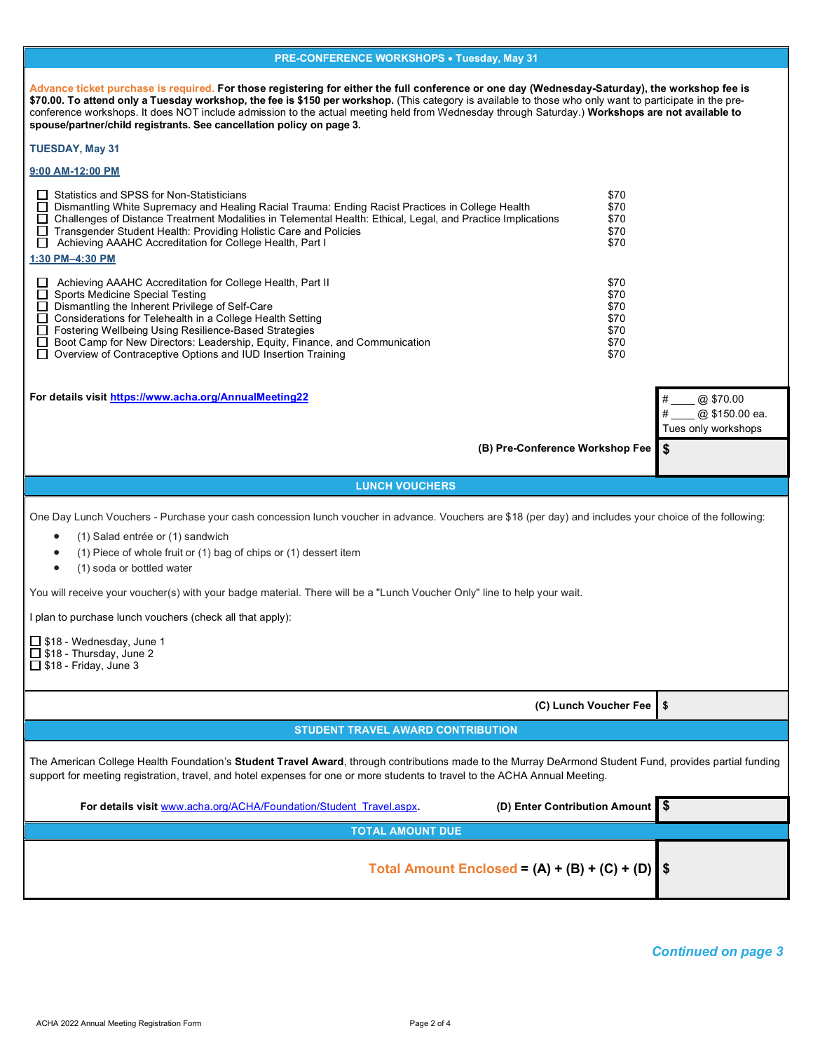| <b>PRE-CONFERENCE WORKSHOPS • Tuesday, May 31</b>                                                                                                                                                                                                                                                                                                                                                                                                                                                                                     |                                                      |                                       |  |  |  |
|---------------------------------------------------------------------------------------------------------------------------------------------------------------------------------------------------------------------------------------------------------------------------------------------------------------------------------------------------------------------------------------------------------------------------------------------------------------------------------------------------------------------------------------|------------------------------------------------------|---------------------------------------|--|--|--|
| Advance ticket purchase is required. For those registering for either the full conference or one day (Wednesday-Saturday), the workshop fee is<br>\$70.00. To attend only a Tuesday workshop, the fee is \$150 per workshop. (This category is available to those who only want to participate in the pre-<br>conference workshops. It does NOT include admission to the actual meeting held from Wednesday through Saturday.) Workshops are not available to<br>spouse/partner/child registrants. See cancellation policy on page 3. |                                                      |                                       |  |  |  |
| <b>TUESDAY, May 31</b>                                                                                                                                                                                                                                                                                                                                                                                                                                                                                                                |                                                      |                                       |  |  |  |
| 9:00 AM-12:00 PM                                                                                                                                                                                                                                                                                                                                                                                                                                                                                                                      |                                                      |                                       |  |  |  |
| Statistics and SPSS for Non-Statisticians<br>$\Box$<br>$\Box$<br>Dismantling White Supremacy and Healing Racial Trauma: Ending Racist Practices in College Health<br>□ Challenges of Distance Treatment Modalities in Telemental Health: Ethical, Legal, and Practice Implications<br>□ Transgender Student Health: Providing Holistic Care and Policies<br>Achieving AAAHC Accreditation for College Health, Part I<br>$\Box$                                                                                                        | \$70<br>\$70<br>\$70<br>\$70<br>\$70                 |                                       |  |  |  |
| 1:30 PM-4:30 PM                                                                                                                                                                                                                                                                                                                                                                                                                                                                                                                       |                                                      |                                       |  |  |  |
| Achieving AAAHC Accreditation for College Health, Part II<br>$\Box$<br>$\Box$<br><b>Sports Medicine Special Testing</b><br>Dismantling the Inherent Privilege of Self-Care<br>П<br>□ Considerations for Telehealth in a College Health Setting<br>□ Fostering Wellbeing Using Resilience-Based Strategies<br>$\Box$<br>Boot Camp for New Directors: Leadership, Equity, Finance, and Communication<br>Overview of Contraceptive Options and IUD Insertion Training<br>$\Box$                                                          | \$70<br>\$70<br>\$70<br>\$70<br>\$70<br>\$70<br>\$70 |                                       |  |  |  |
| For details visit https://www.acha.org/AnnualMeeting22                                                                                                                                                                                                                                                                                                                                                                                                                                                                                |                                                      | @ \$70.00                             |  |  |  |
|                                                                                                                                                                                                                                                                                                                                                                                                                                                                                                                                       |                                                      | @ \$150.00 ea.<br>Tues only workshops |  |  |  |
| (B) Pre-Conference Workshop Fee                                                                                                                                                                                                                                                                                                                                                                                                                                                                                                       |                                                      | \$                                    |  |  |  |
|                                                                                                                                                                                                                                                                                                                                                                                                                                                                                                                                       |                                                      |                                       |  |  |  |
| <b>LUNCH VOUCHERS</b>                                                                                                                                                                                                                                                                                                                                                                                                                                                                                                                 |                                                      |                                       |  |  |  |
| One Day Lunch Vouchers - Purchase your cash concession lunch voucher in advance. Vouchers are \$18 (per day) and includes your choice of the following:<br>(1) Salad entrée or (1) sandwich<br>٠<br>(1) Piece of whole fruit or (1) bag of chips or (1) dessert item<br>$\bullet$<br>(1) soda or bottled water<br>$\bullet$                                                                                                                                                                                                           |                                                      |                                       |  |  |  |
| You will receive your voucher(s) with your badge material. There will be a "Lunch Voucher Only" line to help your wait.                                                                                                                                                                                                                                                                                                                                                                                                               |                                                      |                                       |  |  |  |
| I plan to purchase lunch vouchers (check all that apply):                                                                                                                                                                                                                                                                                                                                                                                                                                                                             |                                                      |                                       |  |  |  |
| $\Box$ \$18 - Wednesday, June 1<br>$\Box$ \$18 - Thursday, June 2<br>$\Box$ \$18 - Friday, June 3                                                                                                                                                                                                                                                                                                                                                                                                                                     |                                                      |                                       |  |  |  |
|                                                                                                                                                                                                                                                                                                                                                                                                                                                                                                                                       |                                                      |                                       |  |  |  |
|                                                                                                                                                                                                                                                                                                                                                                                                                                                                                                                                       | (C) Lunch Voucher Fee                                | \$                                    |  |  |  |
| <b>STUDENT TRAVEL AWARD CONTRIBUTION</b>                                                                                                                                                                                                                                                                                                                                                                                                                                                                                              |                                                      |                                       |  |  |  |
| The American College Health Foundation's Student Travel Award, through contributions made to the Murray DeArmond Student Fund, provides partial funding<br>support for meeting registration, travel, and hotel expenses for one or more students to travel to the ACHA Annual Meeting.                                                                                                                                                                                                                                                |                                                      |                                       |  |  |  |
| (D) Enter Contribution Amount \$<br>For details visit www.acha.org/ACHA/Foundation/Student Travel.aspx.                                                                                                                                                                                                                                                                                                                                                                                                                               |                                                      |                                       |  |  |  |
| <b>TOTAL AMOUNT DUE</b>                                                                                                                                                                                                                                                                                                                                                                                                                                                                                                               |                                                      |                                       |  |  |  |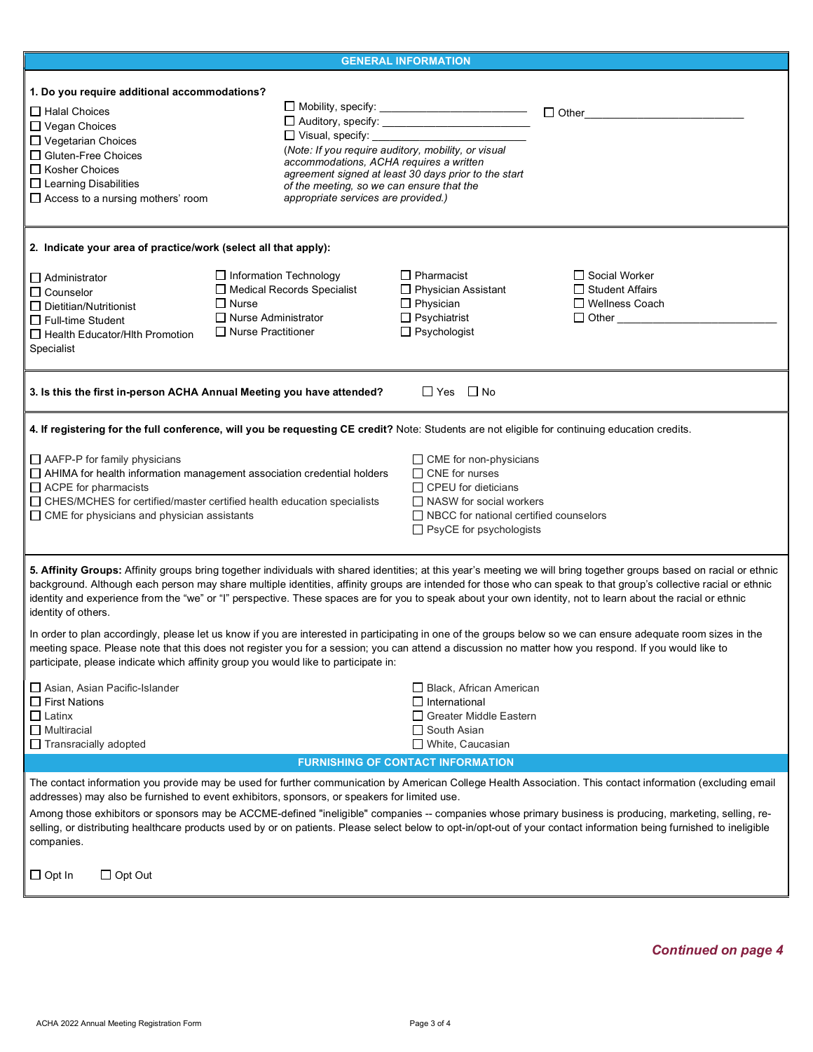|                                                                                                                                                                                                                                                                                                                                                                                                                                                                                                                                                                                                                                                  | <b>GENERAL INFORMATION</b>                                                                                                                                                                                                                                      |                                                                                                                                                                               |                                                             |  |
|--------------------------------------------------------------------------------------------------------------------------------------------------------------------------------------------------------------------------------------------------------------------------------------------------------------------------------------------------------------------------------------------------------------------------------------------------------------------------------------------------------------------------------------------------------------------------------------------------------------------------------------------------|-----------------------------------------------------------------------------------------------------------------------------------------------------------------------------------------------------------------------------------------------------------------|-------------------------------------------------------------------------------------------------------------------------------------------------------------------------------|-------------------------------------------------------------|--|
|                                                                                                                                                                                                                                                                                                                                                                                                                                                                                                                                                                                                                                                  |                                                                                                                                                                                                                                                                 |                                                                                                                                                                               |                                                             |  |
| 1. Do you require additional accommodations?<br>$\Box$ Halal Choices<br>$\Box$ Vegan Choices<br>$\Box$ Vegetarian Choices<br>$\Box$ Gluten-Free Choices<br>$\Box$ Kosher Choices<br>$\Box$ Learning Disabilities<br>$\Box$ Access to a nursing mothers' room                                                                                                                                                                                                                                                                                                                                                                                     | □ Auditory, specify: _________________________<br>$\Box$ Visual, specify:<br>(Note: If you require auditory, mobility, or visual<br>accommodations, ACHA requires a written<br>of the meeting, so we can ensure that the<br>appropriate services are provided.) | agreement signed at least 30 days prior to the start                                                                                                                          | $\Box$ Other                                                |  |
| 2. Indicate your area of practice/work (select all that apply):                                                                                                                                                                                                                                                                                                                                                                                                                                                                                                                                                                                  |                                                                                                                                                                                                                                                                 |                                                                                                                                                                               |                                                             |  |
| □ Information Technology<br>$\Box$ Administrator<br>Medical Records Specialist<br>$\Box$ Counselor<br>$\Box$ Nurse<br>$\Box$ Dietitian/Nutritionist<br>□ Nurse Administrator<br>$\Box$ Full-time Student<br>$\Box$ Nurse Practitioner<br>□ Health Educator/Hith Promotion<br>Specialist                                                                                                                                                                                                                                                                                                                                                          |                                                                                                                                                                                                                                                                 | $\Box$ Pharmacist<br>$\Box$ Physician Assistant<br>$\Box$ Physician<br>$\Box$ Psychiatrist<br>$\Box$ Psychologist                                                             | Social Worker<br>$\Box$ Student Affairs<br>□ Wellness Coach |  |
| 3. Is this the first in-person ACHA Annual Meeting you have attended?                                                                                                                                                                                                                                                                                                                                                                                                                                                                                                                                                                            |                                                                                                                                                                                                                                                                 | $\Box$ Yes $\Box$ No                                                                                                                                                          |                                                             |  |
| 4. If registering for the full conference, will you be requesting CE credit? Note: Students are not eligible for continuing education credits.                                                                                                                                                                                                                                                                                                                                                                                                                                                                                                   |                                                                                                                                                                                                                                                                 |                                                                                                                                                                               |                                                             |  |
| $\Box$ AAFP-P for family physicians<br>$\Box$ AHIMA for health information management association credential holders<br>$\Box$ ACPE for pharmacists<br>□ CHES/MCHES for certified/master certified health education specialists<br>$\Box$ CME for physicians and physician assistants                                                                                                                                                                                                                                                                                                                                                            |                                                                                                                                                                                                                                                                 | $\Box$ CME for non-physicians<br>CNE for nurses<br>$\Box$ CPEU for dieticians<br>NASW for social workers<br>NBCC for national certified counselors<br>PsyCE for psychologists |                                                             |  |
| 5. Affinity Groups: Affinity groups bring together individuals with shared identities; at this year's meeting we will bring together groups based on racial or ethnic<br>background. Although each person may share multiple identities, affinity groups are intended for those who can speak to that group's collective racial or ethnic<br>identity and experience from the "we" or "I" perspective. These spaces are for you to speak about your own identity, not to learn about the racial or ethnic<br>identity of others.                                                                                                                 |                                                                                                                                                                                                                                                                 |                                                                                                                                                                               |                                                             |  |
| In order to plan accordingly, please let us know if you are interested in participating in one of the groups below so we can ensure adequate room sizes in the<br>meeting space. Please note that this does not register you for a session; you can attend a discussion no matter how you respond. If you would like to<br>participate, please indicate which affinity group you would like to participate in:                                                                                                                                                                                                                                   |                                                                                                                                                                                                                                                                 |                                                                                                                                                                               |                                                             |  |
| Asian, Asian Pacific-Islander<br>$\Box$ First Nations<br>$\Box$ Latinx<br>$\Box$ Multiracial<br>$\Box$ Transracially adopted                                                                                                                                                                                                                                                                                                                                                                                                                                                                                                                     |                                                                                                                                                                                                                                                                 | □ Black, African American<br>$\Box$ International<br>□ Greater Middle Eastern<br>$\Box$ South Asian<br>White, Caucasian                                                       |                                                             |  |
|                                                                                                                                                                                                                                                                                                                                                                                                                                                                                                                                                                                                                                                  | <b>FURNISHING OF CONTACT INFORMATION</b>                                                                                                                                                                                                                        |                                                                                                                                                                               |                                                             |  |
| The contact information you provide may be used for further communication by American College Health Association. This contact information (excluding email<br>addresses) may also be furnished to event exhibitors, sponsors, or speakers for limited use.<br>Among those exhibitors or sponsors may be ACCME-defined "ineligible" companies -- companies whose primary business is producing, marketing, selling, re-<br>selling, or distributing healthcare products used by or on patients. Please select below to opt-in/opt-out of your contact information being furnished to ineligible<br>companies.<br>$\Box$ Opt Out<br>$\Box$ Opt In |                                                                                                                                                                                                                                                                 |                                                                                                                                                                               |                                                             |  |